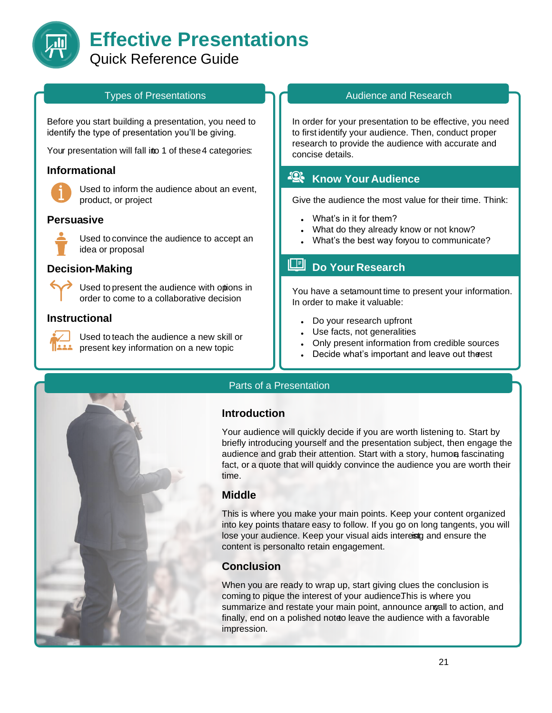

#### Types of Presentations

Before you start building a presentation, you need to identify the type of presentation you'll be giving.

Your presentation will fall into 1 of these 4 categories:

#### **Informational**



Used to inform the audience about an event, product, or project

### **Persuasive**



Used to convince the audience to accept an idea or proposal

#### **Decision-Making**

Used to present the audience with options in order to come to a collaborative decision

#### **Instructional**



Used to teach the audience a new skill or present key information on a new topic

#### Audience and Research

In order for your presentation to be effective, you need to first identify your audience. Then, conduct proper research to provide the audience with accurate and concise details.

## **Know Your Audience**

Give the audience the most value for their time. Think:

- What's in it for them?
- What do they already know or not know?
- What's the best way foryou to communicate?

# **Do Your Research**

You have a setamount time to present your information. In order to make it valuable:

- Do your research upfront
- Use facts, not generalities
- Only present information from credible sources
- Decide what's important and leave out the est



#### Parts of a Presentation

#### **Introduction**

Your audience will quickly decide if you are worth listening to. Start by briefly introducing yourself and the presentation subject, then engage the audience and grab their attention. Start with a story, humon fascinating fact, or a quote that will quidy convince the audience you are worth their time.

#### **Middle**

This is where you make your main points. Keep your content organized into key points that are easy to follow. If you go on long tangents, you will lose your audience. Keep your visual aids intereistg and ensure the content is personalto retain engagement.

#### **Conclusion**

When you are ready to wrap up, start giving clues the conclusion is coming to pique the interest of your audience.This is where you summarize and restate your main point, announce angall to action, and finally, end on a polished noteo leave the audience with a favorable impression.